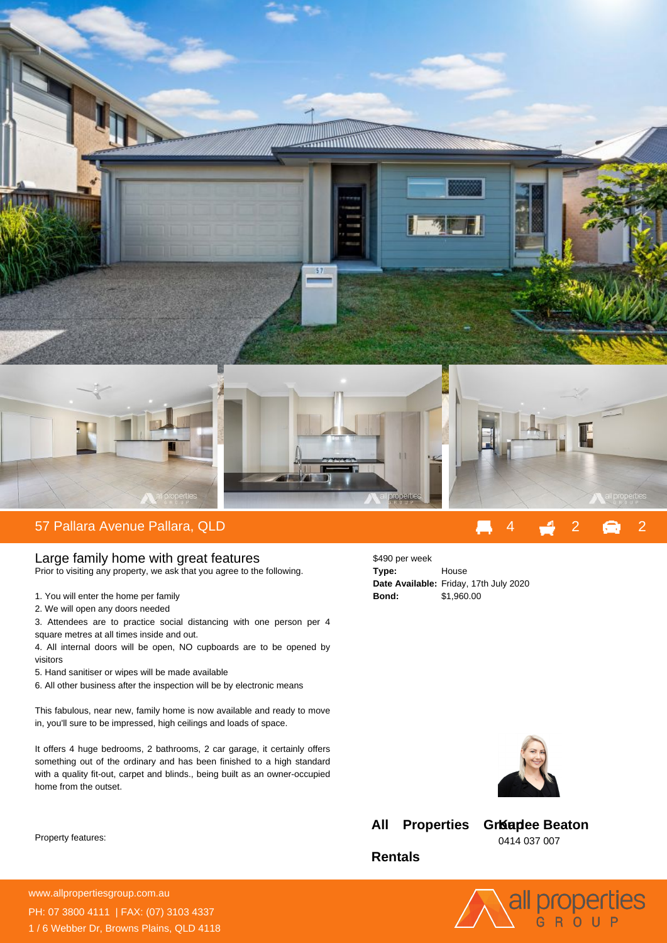

Large family home with great features Prior to visiting any property, we ask that you agree to the following.

- 1. You will enter the home per family
- 2. We will open any doors needed

3. Attendees are to practice social distancing with one person per 4 square metres at all times inside and out.

4. All internal doors will be open, NO cupboards are to be opened by visitors

5. Hand sanitiser or wipes will be made available

6. All other business after the inspection will be by electronic means

This fabulous, near new, family home is now available and ready to move in, you'll sure to be impressed, high ceilings and loads of space.

It offers 4 huge bedrooms, 2 bathrooms, 2 car garage, it certainly offers something out of the ordinary and has been finished to a high standard with a quality fit-out, carpet and blinds., being built as an owner-occupied home from the outset.

Property features:

| \$490 per week |                                        |
|----------------|----------------------------------------|
| Type:          | House                                  |
|                | Date Available: Friday, 17th July 2020 |
| Bond:          | \$1,960.00                             |



**All Properties** 

**GrKaplee Beaton** 0414 037 007

all properties

**Rentals**